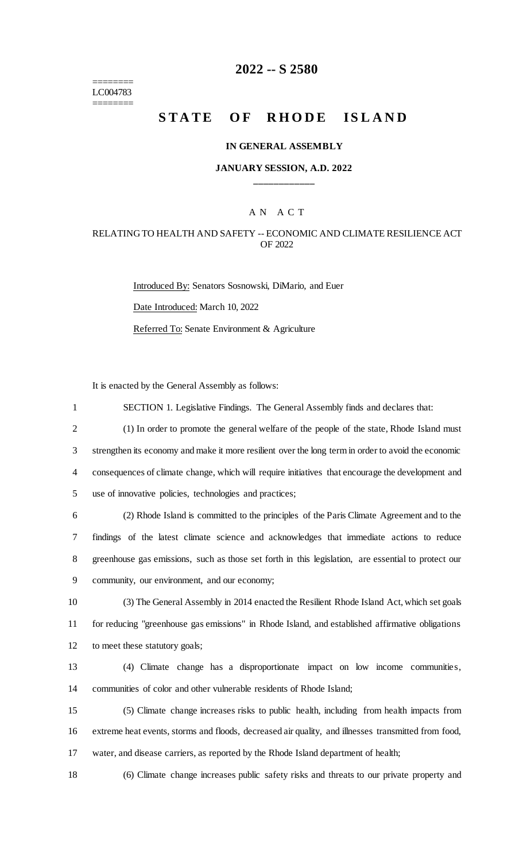======== LC004783 ========

# **2022 -- S 2580**

# **STATE OF RHODE ISLAND**

### **IN GENERAL ASSEMBLY**

### **JANUARY SESSION, A.D. 2022 \_\_\_\_\_\_\_\_\_\_\_\_**

# A N A C T

### RELATING TO HEALTH AND SAFETY -- ECONOMIC AND CLIMATE RESILIENCE ACT OF 2022

Introduced By: Senators Sosnowski, DiMario, and Euer Date Introduced: March 10, 2022 Referred To: Senate Environment & Agriculture

It is enacted by the General Assembly as follows:

| $\mathbf{1}$   | SECTION 1. Legislative Findings. The General Assembly finds and declares that:                      |
|----------------|-----------------------------------------------------------------------------------------------------|
| $\overline{2}$ | (1) In order to promote the general welfare of the people of the state, Rhode Island must           |
| 3              | strengthen its economy and make it more resilient over the long term in order to avoid the economic |
| $\overline{4}$ | consequences of climate change, which will require initiatives that encourage the development and   |
| 5              | use of innovative policies, technologies and practices;                                             |
| 6              | (2) Rhode Island is committed to the principles of the Paris Climate Agreement and to the           |
| 7              | findings of the latest climate science and acknowledges that immediate actions to reduce            |
| 8              | greenhouse gas emissions, such as those set forth in this legislation, are essential to protect our |
| 9              | community, our environment, and our economy;                                                        |
| 10             | (3) The General Assembly in 2014 enacted the Resilient Rhode Island Act, which set goals            |
| 11             | for reducing "greenhouse gas emissions" in Rhode Island, and established affirmative obligations    |
| 12             | to meet these statutory goals;                                                                      |
| 13             | (4) Climate change has a disproportionate impact on low income communities,                         |
| 14             | communities of color and other vulnerable residents of Rhode Island;                                |
| 15             | (5) Climate change increases risks to public health, including from health impacts from             |
| 16             | extreme heat events, storms and floods, decreased air quality, and illnesses transmitted from food, |
| 17             | water, and disease carriers, as reported by the Rhode Island department of health;                  |
|                |                                                                                                     |

18 (6) Climate change increases public safety risks and threats to our private property and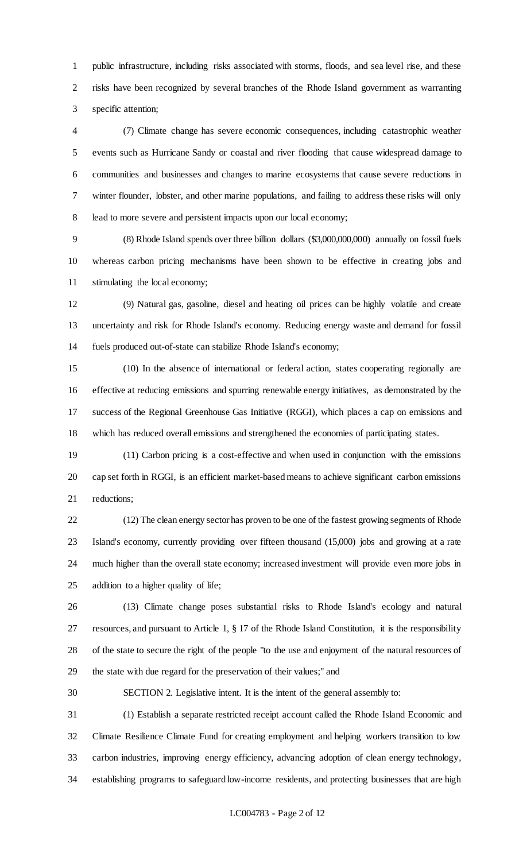public infrastructure, including risks associated with storms, floods, and sea level rise, and these risks have been recognized by several branches of the Rhode Island government as warranting specific attention;

 (7) Climate change has severe economic consequences, including catastrophic weather events such as Hurricane Sandy or coastal and river flooding that cause widespread damage to communities and businesses and changes to marine ecosystems that cause severe reductions in winter flounder, lobster, and other marine populations, and failing to address these risks will only lead to more severe and persistent impacts upon our local economy;

 (8) Rhode Island spends over three billion dollars (\$3,000,000,000) annually on fossil fuels whereas carbon pricing mechanisms have been shown to be effective in creating jobs and stimulating the local economy;

 (9) Natural gas, gasoline, diesel and heating oil prices can be highly volatile and create uncertainty and risk for Rhode Island's economy. Reducing energy waste and demand for fossil fuels produced out-of-state can stabilize Rhode Island's economy;

 (10) In the absence of international or federal action, states cooperating regionally are effective at reducing emissions and spurring renewable energy initiatives, as demonstrated by the success of the Regional Greenhouse Gas Initiative (RGGI), which places a cap on emissions and which has reduced overall emissions and strengthened the economies of participating states.

 (11) Carbon pricing is a cost-effective and when used in conjunction with the emissions cap set forth in RGGI, is an efficient market-based means to achieve significant carbon emissions reductions;

 (12) The clean energy sector has proven to be one of the fastest growing segments of Rhode Island's economy, currently providing over fifteen thousand (15,000) jobs and growing at a rate much higher than the overall state economy; increased investment will provide even more jobs in addition to a higher quality of life;

 (13) Climate change poses substantial risks to Rhode Island's ecology and natural resources, and pursuant to Article 1, § 17 of the Rhode Island Constitution, it is the responsibility of the state to secure the right of the people "to the use and enjoyment of the natural resources of the state with due regard for the preservation of their values;" and

SECTION 2. Legislative intent. It is the intent of the general assembly to:

 (1) Establish a separate restricted receipt account called the Rhode Island Economic and Climate Resilience Climate Fund for creating employment and helping workers transition to low carbon industries, improving energy efficiency, advancing adoption of clean energy technology, establishing programs to safeguard low-income residents, and protecting businesses that are high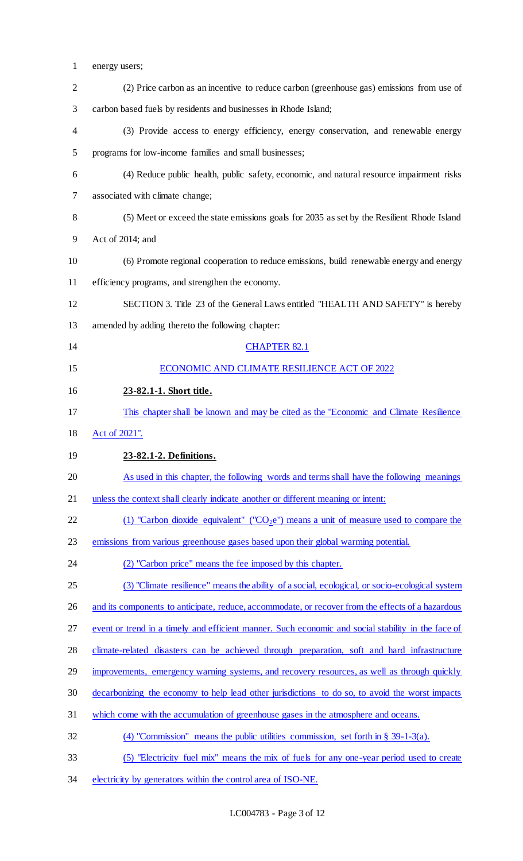| $\mathbf{1}$   | energy users;                                                                                      |
|----------------|----------------------------------------------------------------------------------------------------|
| $\overline{2}$ | (2) Price carbon as an incentive to reduce carbon (greenhouse gas) emissions from use of           |
| 3              | carbon based fuels by residents and businesses in Rhode Island;                                    |
| 4              | (3) Provide access to energy efficiency, energy conservation, and renewable energy                 |
| 5              | programs for low-income families and small businesses;                                             |
| 6              | (4) Reduce public health, public safety, economic, and natural resource impairment risks           |
| 7              | associated with climate change;                                                                    |
| 8              | (5) Meet or exceed the state emissions goals for 2035 as set by the Resilient Rhode Island         |
| 9              | Act of 2014; and                                                                                   |
| 10             | (6) Promote regional cooperation to reduce emissions, build renewable energy and energy            |
| 11             | efficiency programs, and strengthen the economy.                                                   |
| 12             | SECTION 3. Title 23 of the General Laws entitled "HEALTH AND SAFETY" is hereby                     |
| 13             | amended by adding thereto the following chapter:                                                   |
| 14             | <b>CHAPTER 82.1</b>                                                                                |
| 15             | ECONOMIC AND CLIMATE RESILIENCE ACT OF 2022                                                        |
| 16             | 23-82.1-1. Short title.                                                                            |
| 17             | This chapter shall be known and may be cited as the "Economic and Climate Resilience"              |
| 18             | Act of 2021".                                                                                      |
| 19             | 23-82.1-2. Definitions.                                                                            |
| 20             | As used in this chapter, the following words and terms shall have the following meanings           |
| 21             | unless the context shall clearly indicate another or different meaning or intent:                  |
| 22             | (1) "Carbon dioxide equivalent" ("CO <sub>2</sub> e") means a unit of measure used to compare the  |
| 23             | emissions from various greenhouse gases based upon their global warming potential.                 |
| 24             | (2) "Carbon price" means the fee imposed by this chapter.                                          |
| 25             | (3) "Climate resilience" means the ability of a social, ecological, or socio-ecological system     |
| 26             | and its components to anticipate, reduce, accommodate, or recover from the effects of a hazardous  |
| 27             | event or trend in a timely and efficient manner. Such economic and social stability in the face of |
| 28             | climate-related disasters can be achieved through preparation, soft and hard infrastructure        |
| 29             | improvements, emergency warning systems, and recovery resources, as well as through quickly        |
| 30             | decarbonizing the economy to help lead other jurisdictions to do so, to avoid the worst impacts    |
| 31             | which come with the accumulation of greenhouse gases in the atmosphere and oceans.                 |
| 32             | (4) "Commission" means the public utilities commission, set forth in $\S$ 39-1-3(a).               |
| 33             | (5) "Electricity fuel mix" means the mix of fuels for any one-year period used to create           |
| 34             | electricity by generators within the control area of ISO-NE.                                       |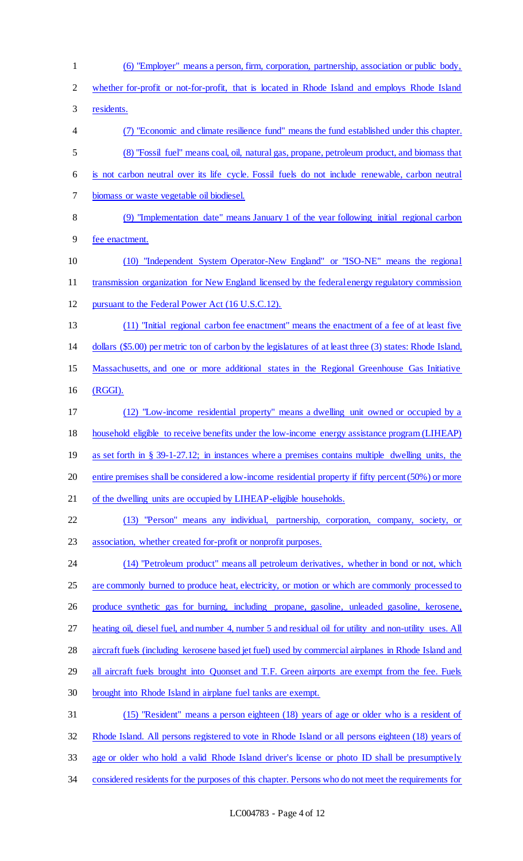| $\mathbf{1}$   | (6) "Employer" means a person, firm, corporation, partnership, association or public body,                |
|----------------|-----------------------------------------------------------------------------------------------------------|
| $\overline{2}$ | whether for-profit or not-for-profit, that is located in Rhode Island and employs Rhode Island            |
| 3              | residents.                                                                                                |
| 4              | (7) "Economic and climate resilience fund" means the fund established under this chapter.                 |
| 5              | (8) "Fossil fuel" means coal, oil, natural gas, propane, petroleum product, and biomass that              |
| 6              | is not carbon neutral over its life cycle. Fossil fuels do not include renewable, carbon neutral          |
| 7              | biomass or waste vegetable oil biodiesel.                                                                 |
| 8              | (9) "Implementation date" means January 1 of the year following initial regional carbon                   |
| 9              | fee enactment.                                                                                            |
| 10             | (10) "Independent System Operator-New England" or "ISO-NE" means the regional                             |
| 11             | transmission organization for New England licensed by the federal energy regulatory commission            |
| 12             | pursuant to the Federal Power Act (16 U.S.C.12).                                                          |
| 13             | (11) "Initial regional carbon fee enactment" means the enactment of a fee of at least five                |
| 14             | dollars (\$5.00) per metric ton of carbon by the legislatures of at least three (3) states: Rhode Island, |
| 15             | Massachusetts, and one or more additional states in the Regional Greenhouse Gas Initiative                |
| 16             | (RGGI).                                                                                                   |
| 17             | (12) "Low-income residential property" means a dwelling unit owned or occupied by a                       |
| 18             | household eligible to receive benefits under the low-income energy assistance program (LIHEAP)            |
| 19             | as set forth in § 39-1-27.12; in instances where a premises contains multiple dwelling units, the         |
| 20             | entire premises shall be considered a low-income residential property if fifty percent (50%) or more      |
| 21             | of the dwelling units are occupied by LIHEAP-eligible households.                                         |
| 22             | (13) "Person" means any individual, partnership, corporation, company, society, or                        |
| 23             | association, whether created for-profit or nonprofit purposes.                                            |
| 24             | (14) "Petroleum product" means all petroleum derivatives, whether in bond or not, which                   |
| 25             | are commonly burned to produce heat, electricity, or motion or which are commonly processed to            |
| 26             | produce synthetic gas for burning, including propane, gasoline, unleaded gasoline, kerosene,              |
| 27             | heating oil, diesel fuel, and number 4, number 5 and residual oil for utility and non-utility uses. All   |
| 28             | aircraft fuels (including kerosene based jet fuel) used by commercial airplanes in Rhode Island and       |
| 29             | all aircraft fuels brought into Quonset and T.F. Green airports are exempt from the fee. Fuels            |
| 30             | brought into Rhode Island in airplane fuel tanks are exempt.                                              |
| 31             | (15) "Resident" means a person eighteen (18) years of age or older who is a resident of                   |
| 32             | Rhode Island. All persons registered to vote in Rhode Island or all persons eighteen (18) years of        |
| 33             | age or older who hold a valid Rhode Island driver's license or photo ID shall be presumptively            |
| 34             | considered residents for the purposes of this chapter. Persons who do not meet the requirements for       |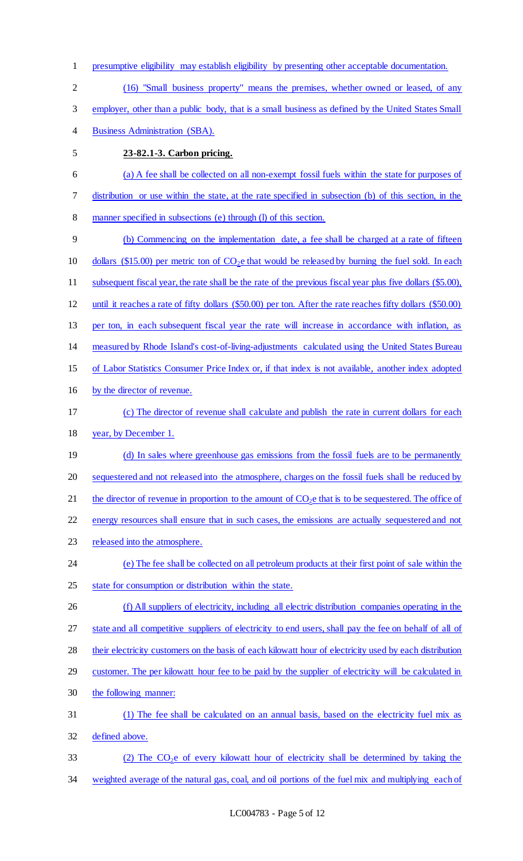- presumptive eligibility may establish eligibility by presenting other acceptable documentation.
- (16) "Small business property" means the premises, whether owned or leased, of any
- 3 employer, other than a public body, that is a small business as defined by the United States Small
- Business Administration (SBA).
- 

# **23-82.1-3. Carbon pricing.**

 (a) A fee shall be collected on all non-exempt fossil fuels within the state for purposes of distribution or use within the state, at the rate specified in subsection (b) of this section, in the manner specified in subsections (e) through (l) of this section.

- (b) Commencing on the implementation date, a fee shall be charged at a rate of fifteen 10 dollars (\$15.00) per metric ton of  $CO<sub>2</sub>e$  that would be released by burning the fuel sold. In each subsequent fiscal year, the rate shall be the rate of the previous fiscal year plus five dollars (\$5.00), until it reaches a rate of fifty dollars (\$50.00) per ton. After the rate reaches fifty dollars (\$50.00) per ton, in each subsequent fiscal year the rate will increase in accordance with inflation, as measured by Rhode Island's cost-of-living-adjustments calculated using the United States Bureau of Labor Statistics Consumer Price Index or, if that index is not available, another index adopted by the director of revenue. (c) The director of revenue shall calculate and publish the rate in current dollars for each year, by December 1.
- 19 (d) In sales where greenhouse gas emissions from the fossil fuels are to be permanently sequestered and not released into the atmosphere, charges on the fossil fuels shall be reduced by 21 the director of revenue in proportion to the amount of  $CO<sub>2</sub>e$  that is to be sequestered. The office of energy resources shall ensure that in such cases, the emissions are actually sequestered and not
- released into the atmosphere.
- (e) The fee shall be collected on all petroleum products at their first point of sale within the state for consumption or distribution within the state.
- (f) All suppliers of electricity, including all electric distribution companies operating in the 27 state and all competitive suppliers of electricity to end users, shall pay the fee on behalf of all of their electricity customers on the basis of each kilowatt hour of electricity used by each distribution 29 customer. The per kilowatt hour fee to be paid by the supplier of electricity will be calculated in the following manner:
- (1) The fee shall be calculated on an annual basis, based on the electricity fuel mix as defined above.
- 33 (2) The CO<sub>2</sub>e of every kilowatt hour of electricity shall be determined by taking the weighted average of the natural gas, coal, and oil portions of the fuel mix and multiplying each of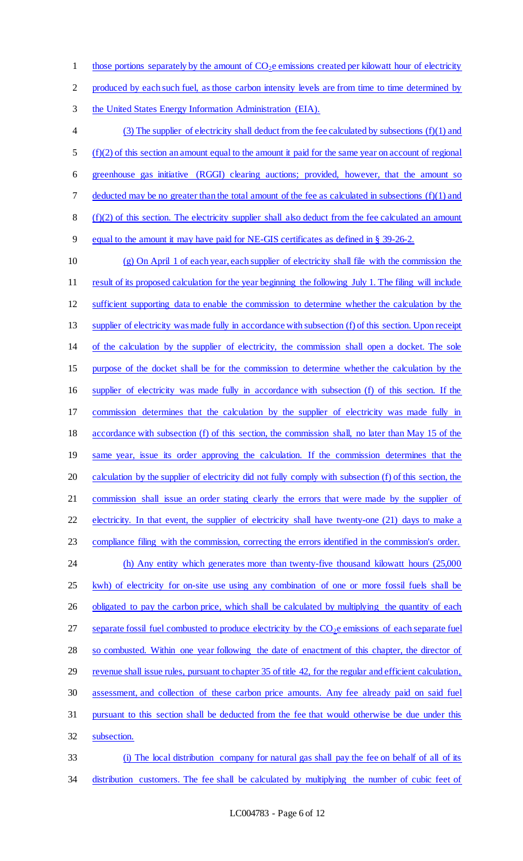1 those portions separately by the amount of  $CO<sub>2</sub>e$  emissions created per kilowatt hour of electricity

produced by each such fuel, as those carbon intensity levels are from time to time determined by

the United States Energy Information Administration (EIA).

 (3) The supplier of electricity shall deduct from the fee calculated by subsections (f)(1) and (f)(2) of this section an amount equal to the amount it paid for the same year on account of regional greenhouse gas initiative (RGGI) clearing auctions; provided, however, that the amount so deducted may be no greater than the total amount of the fee as calculated in subsections (f)(1) and (f)(2) of this section. The electricity supplier shall also deduct from the fee calculated an amount equal to the amount it may have paid for NE-GIS certificates as defined in § 39-26-2.

 (g) On April 1 of each year, each supplier of electricity shall file with the commission the 11 result of its proposed calculation for the year beginning the following July 1. The filing will include sufficient supporting data to enable the commission to determine whether the calculation by the 13 supplier of electricity was made fully in accordance with subsection (f) of this section. Upon receipt of the calculation by the supplier of electricity, the commission shall open a docket. The sole purpose of the docket shall be for the commission to determine whether the calculation by the supplier of electricity was made fully in accordance with subsection (f) of this section. If the commission determines that the calculation by the supplier of electricity was made fully in accordance with subsection (f) of this section, the commission shall, no later than May 15 of the same year, issue its order approving the calculation. If the commission determines that the calculation by the supplier of electricity did not fully comply with subsection (f) of this section, the commission shall issue an order stating clearly the errors that were made by the supplier of 22 electricity. In that event, the supplier of electricity shall have twenty-one (21) days to make a compliance filing with the commission, correcting the errors identified in the commission's order. 24 (h) Any entity which generates more than twenty-five thousand kilowatt hours (25,000 25 kwh) of electricity for on-site use using any combination of one or more fossil fuels shall be 26 obligated to pay the carbon price, which shall be calculated by multiplying the quantity of each 27 separate fossil fuel combusted to produce electricity by the  $CO<sub>2</sub>e$  emissions of each separate fuel so combusted. Within one year following the date of enactment of this chapter, the director of revenue shall issue rules, pursuant to chapter 35 of title 42, for the regular and efficient calculation, assessment, and collection of these carbon price amounts. Any fee already paid on said fuel pursuant to this section shall be deducted from the fee that would otherwise be due under this subsection. (i) The local distribution company for natural gas shall pay the fee on behalf of all of its

34 distribution customers. The fee shall be calculated by multiplying the number of cubic feet of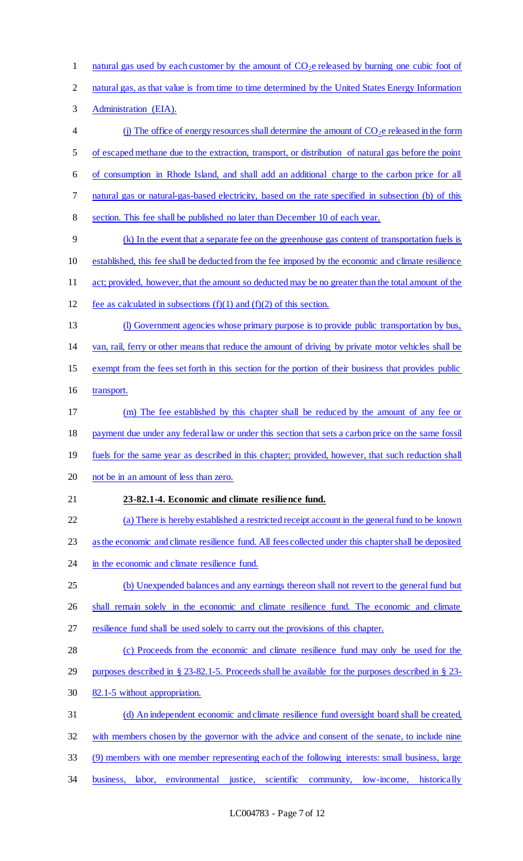1 natural gas used by each customer by the amount of  $CO<sub>2</sub>e$  released by burning one cubic foot of natural gas, as that value is from time to time determined by the United States Energy Information Administration (EIA). 4 (j) The office of energy resources shall determine the amount of  $CO<sub>2</sub>e$  released in the form of escaped methane due to the extraction, transport, or distribution of natural gas before the point of consumption in Rhode Island, and shall add an additional charge to the carbon price for all 7 natural gas or natural-gas-based electricity, based on the rate specified in subsection (b) of this section. This fee shall be published no later than December 10 of each year. (k) In the event that a separate fee on the greenhouse gas content of transportation fuels is established, this fee shall be deducted from the fee imposed by the economic and climate resilience act; provided, however, that the amount so deducted may be no greater than the total amount of the 12 fee as calculated in subsections  $(f)(1)$  and  $(f)(2)$  of this section. (l) Government agencies whose primary purpose is to provide public transportation by bus, van, rail, ferry or other means that reduce the amount of driving by private motor vehicles shall be exempt from the fees set forth in this section for the portion of their business that provides public transport. (m) The fee established by this chapter shall be reduced by the amount of any fee or 18 payment due under any federal law or under this section that sets a carbon price on the same fossil 19 fuels for the same year as described in this chapter; provided, however, that such reduction shall not be in an amount of less than zero. **23-82.1-4. Economic and climate resilience fund.**  (a) There is hereby established a restricted receipt account in the general fund to be known as the economic and climate resilience fund. All fees collected under this chapter shall be deposited 24 in the economic and climate resilience fund. (b) Unexpended balances and any earnings thereon shall not revert to the general fund but 26 shall remain solely in the economic and climate resilience fund. The economic and climate resilience fund shall be used solely to carry out the provisions of this chapter. (c) Proceeds from the economic and climate resilience fund may only be used for the purposes described in § 23-82.1-5. Proceeds shall be available for the purposes described in § 23- 82.1-5 without appropriation. (d) An independent economic and climate resilience fund oversight board shall be created, with members chosen by the governor with the advice and consent of the senate, to include nine (9) members with one member representing each of the following interests: small business, large business, labor, environmental justice, scientific community, low-income, historically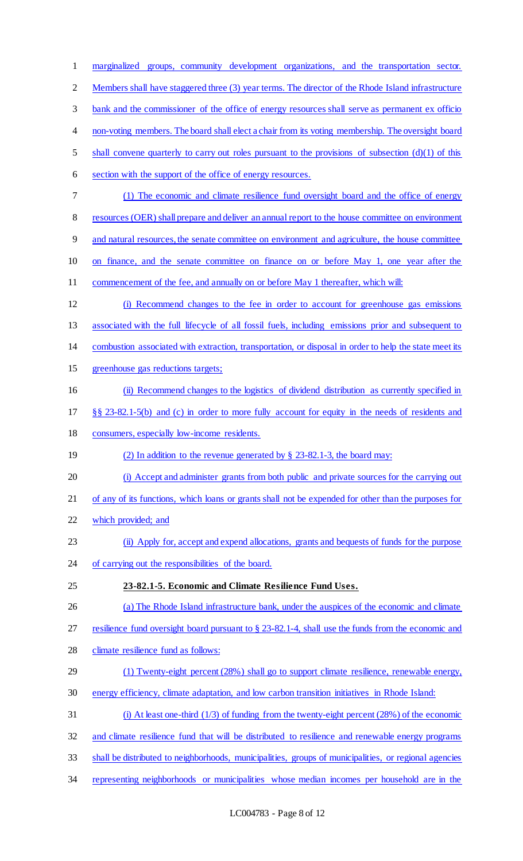| $\mathbf{1}$   | marginalized groups, community development organizations, and the transportation sector.               |
|----------------|--------------------------------------------------------------------------------------------------------|
| $\overline{2}$ | Members shall have staggered three (3) year terms. The director of the Rhode Island infrastructure     |
| 3              | bank and the commissioner of the office of energy resources shall serve as permanent ex officion       |
| 4              | non-voting members. The board shall elect a chair from its voting membership. The oversight board      |
| 5              | shall convene quarterly to carry out roles pursuant to the provisions of subsection $(d)(1)$ of this   |
| 6              | section with the support of the office of energy resources.                                            |
| 7              | (1) The economic and climate resilience fund oversight board and the office of energy                  |
| 8              | resources (OER) shall prepare and deliver an annual report to the house committee on environment       |
| 9              | and natural resources, the senate committee on environment and agriculture, the house committee        |
| 10             | on finance, and the senate committee on finance on or before May 1, one year after the                 |
| 11             | commencement of the fee, and annually on or before May 1 thereafter, which will:                       |
| 12             | (i) Recommend changes to the fee in order to account for greenhouse gas emissions                      |
| 13             | associated with the full lifecycle of all fossil fuels, including emissions prior and subsequent to    |
| 14             | combustion associated with extraction, transportation, or disposal in order to help the state meet its |
| 15             | greenhouse gas reductions targets;                                                                     |
| 16             | (ii) Recommend changes to the logistics of dividend distribution as currently specified in             |
| 17             | §§ 23-82.1-5(b) and (c) in order to more fully account for equity in the needs of residents and        |
| 18             | consumers, especially low-income residents.                                                            |
| 19             | (2) In addition to the revenue generated by $\S$ 23-82.1-3, the board may:                             |
| 20             | (i) Accept and administer grants from both public and private sources for the carrying out             |
| 21             | of any of its functions, which loans or grants shall not be expended for other than the purposes for   |
| 22             | which provided; and                                                                                    |
| 23             | (ii) Apply for, accept and expend allocations, grants and bequests of funds for the purpose            |
| 24             | of carrying out the responsibilities of the board.                                                     |
| 25             | 23-82.1-5. Economic and Climate Resilience Fund Uses.                                                  |
| 26             | (a) The Rhode Island infrastructure bank, under the auspices of the economic and climate               |
| 27             | resilience fund oversight board pursuant to $\S$ 23-82.1-4, shall use the funds from the economic and  |
| 28             | climate resilience fund as follows:                                                                    |
| 29             | (1) Twenty-eight percent (28%) shall go to support climate resilience, renewable energy,               |
| 30             | energy efficiency, climate adaptation, and low carbon transition initiatives in Rhode Island:          |
| 31             | (i) At least one-third $(1/3)$ of funding from the twenty-eight percent $(28%)$ of the economic        |
| 32             | and climate resilience fund that will be distributed to resilience and renewable energy programs       |
| 33             | shall be distributed to neighborhoods, municipalities, groups of municipalities, or regional agencies  |
|                |                                                                                                        |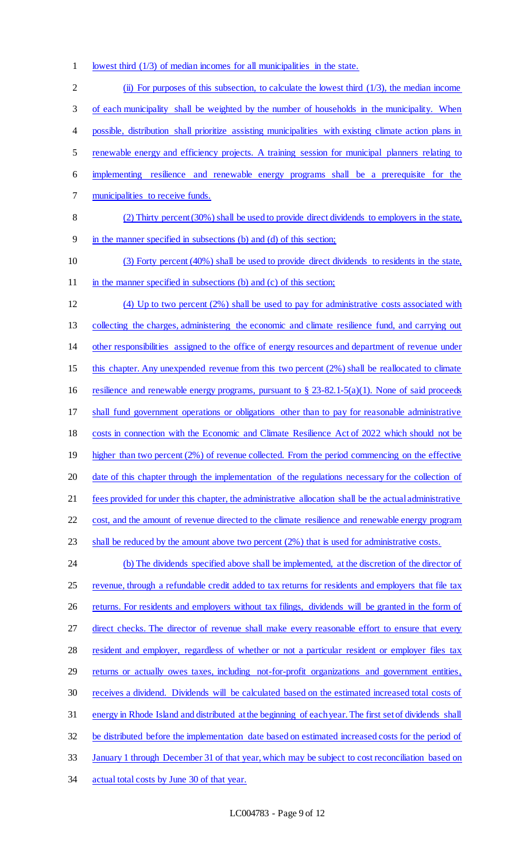1 lowest third (1/3) of median incomes for all municipalities in the state.

 (ii) For purposes of this subsection, to calculate the lowest third (1/3), the median income of each municipality shall be weighted by the number of households in the municipality. When possible, distribution shall prioritize assisting municipalities with existing climate action plans in 5 renewable energy and efficiency projects. A training session for municipal planners relating to implementing resilience and renewable energy programs shall be a prerequisite for the municipalities to receive funds. (2) Thirty percent (30%) shall be used to provide direct dividends to employers in the state, in the manner specified in subsections (b) and (d) of this section; (3) Forty percent (40%) shall be used to provide direct dividends to residents in the state, 11 in the manner specified in subsections (b) and (c) of this section; (4) Up to two percent (2%) shall be used to pay for administrative costs associated with collecting the charges, administering the economic and climate resilience fund, and carrying out other responsibilities assigned to the office of energy resources and department of revenue under this chapter. Any unexpended revenue from this two percent (2%) shall be reallocated to climate resilience and renewable energy programs, pursuant to § 23-82.1-5(a)(1). None of said proceeds shall fund government operations or obligations other than to pay for reasonable administrative costs in connection with the Economic and Climate Resilience Act of 2022 which should not be 19 higher than two percent (2%) of revenue collected. From the period commencing on the effective 20 date of this chapter through the implementation of the regulations necessary for the collection of fees provided for under this chapter, the administrative allocation shall be the actual administrative cost, and the amount of revenue directed to the climate resilience and renewable energy program shall be reduced by the amount above two percent (2%) that is used for administrative costs. 24 (b) The dividends specified above shall be implemented, at the discretion of the director of 25 revenue, through a refundable credit added to tax returns for residents and employers that file tax 26 returns. For residents and employers without tax filings, dividends will be granted in the form of 27 direct checks. The director of revenue shall make every reasonable effort to ensure that every 28 resident and employer, regardless of whether or not a particular resident or employer files tax 29 returns or actually owes taxes, including not-for-profit organizations and government entities, receives a dividend. Dividends will be calculated based on the estimated increased total costs of energy in Rhode Island and distributed at the beginning of each year. The first set of dividends shall be distributed before the implementation date based on estimated increased costs for the period of January 1 through December 31 of that year, which may be subject to cost reconciliation based on actual total costs by June 30 of that year.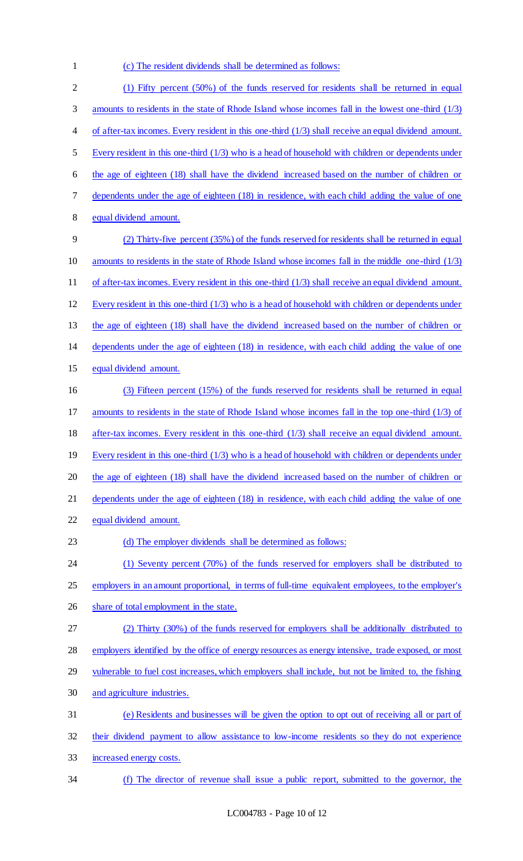1 (c) The resident dividends shall be determined as follows:

| $\overline{2}$ | (1) Fifty percent (50%) of the funds reserved for residents shall be returned in equal                 |
|----------------|--------------------------------------------------------------------------------------------------------|
| 3              | amounts to residents in the state of Rhode Island whose incomes fall in the lowest one-third (1/3)     |
| 4              | of after-tax incomes. Every resident in this one-third $(1/3)$ shall receive an equal dividend amount. |
| 5              | Every resident in this one-third $(1/3)$ who is a head of household with children or dependents under  |
| 6              | the age of eighteen (18) shall have the dividend increased based on the number of children or          |
| 7              | dependents under the age of eighteen (18) in residence, with each child adding the value of one        |
| 8              | equal dividend amount.                                                                                 |
| 9              | (2) Thirty-five percent (35%) of the funds reserved for residents shall be returned in equal           |
| 10             | amounts to residents in the state of Rhode Island whose incomes fall in the middle one-third $(1/3)$   |
| 11             | of after-tax incomes. Every resident in this one-third $(1/3)$ shall receive an equal dividend amount. |
| 12             | Every resident in this one-third $(1/3)$ who is a head of household with children or dependents under  |
| 13             | the age of eighteen (18) shall have the dividend increased based on the number of children or          |
| 14             | dependents under the age of eighteen (18) in residence, with each child adding the value of one        |
| 15             | equal dividend amount.                                                                                 |
| 16             | (3) Fifteen percent (15%) of the funds reserved for residents shall be returned in equal               |
| 17             | amounts to residents in the state of Rhode Island whose incomes fall in the top one-third (1/3) of     |
| 18             | after-tax incomes. Every resident in this one-third $(1/3)$ shall receive an equal dividend amount.    |
| 19             | Every resident in this one-third $(1/3)$ who is a head of household with children or dependents under  |
| 20             | the age of eighteen (18) shall have the dividend increased based on the number of children or          |
| 21             | dependents under the age of eighteen (18) in residence, with each child adding the value of one        |
| 22             | equal dividend amount.                                                                                 |
| 23             | (d) The employer dividends shall be determined as follows:                                             |
| 24             | (1) Seventy percent (70%) of the funds reserved for employers shall be distributed to                  |
| 25             | employers in an amount proportional, in terms of full-time equivalent employees, to the employer's     |
| 26             | share of total employment in the state.                                                                |
| 27             | (2) Thirty (30%) of the funds reserved for employers shall be additionally distributed to              |
| 28             | employers identified by the office of energy resources as energy intensive, trade exposed, or most     |
| 29             | vulnerable to fuel cost increases, which employers shall include, but not be limited to, the fishing   |
| 30             | and agriculture industries.                                                                            |
| 31             | (e) Residents and businesses will be given the option to opt out of receiving all or part of           |
| 32             | their dividend payment to allow assistance to low-income residents so they do not experience           |
| 33             | increased energy costs.                                                                                |
| 34             | (f) The director of revenue shall issue a public report, submitted to the governor, the                |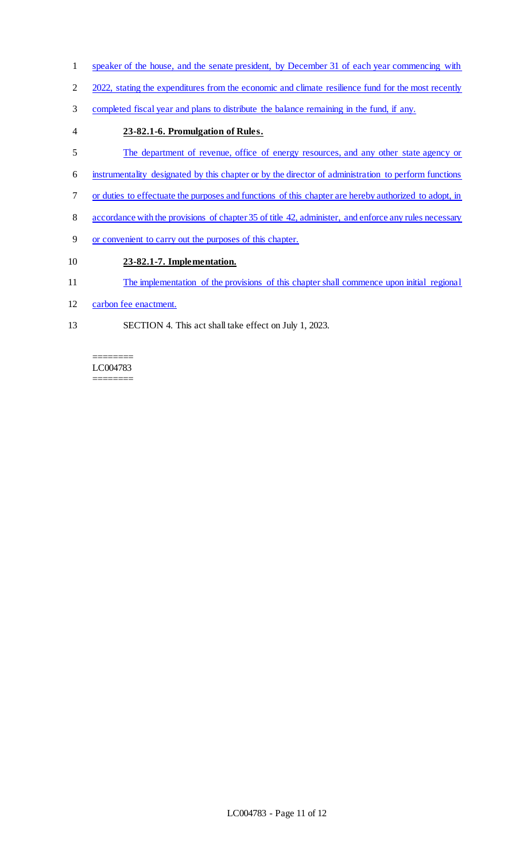- speaker of the house, and the senate president, by December 31 of each year commencing with
- 2 2022, stating the expenditures from the economic and climate resilience fund for the most recently
- completed fiscal year and plans to distribute the balance remaining in the fund, if any.
- **23-82.1-6. Promulgation of Rules.**
- The department of revenue, office of energy resources, and any other state agency or
- instrumentality designated by this chapter or by the director of administration to perform functions
- or duties to effectuate the purposes and functions of this chapter are hereby authorized to adopt, in
- accordance with the provisions of chapter 35 of title 42, administer, and enforce any rules necessary
- or convenient to carry out the purposes of this chapter.

# **23-82.1-7. Implementation.**

- The implementation of the provisions of this chapter shall commence upon initial regional
- carbon fee enactment.
- SECTION 4. This act shall take effect on July 1, 2023.

#### ======== LC004783 ========